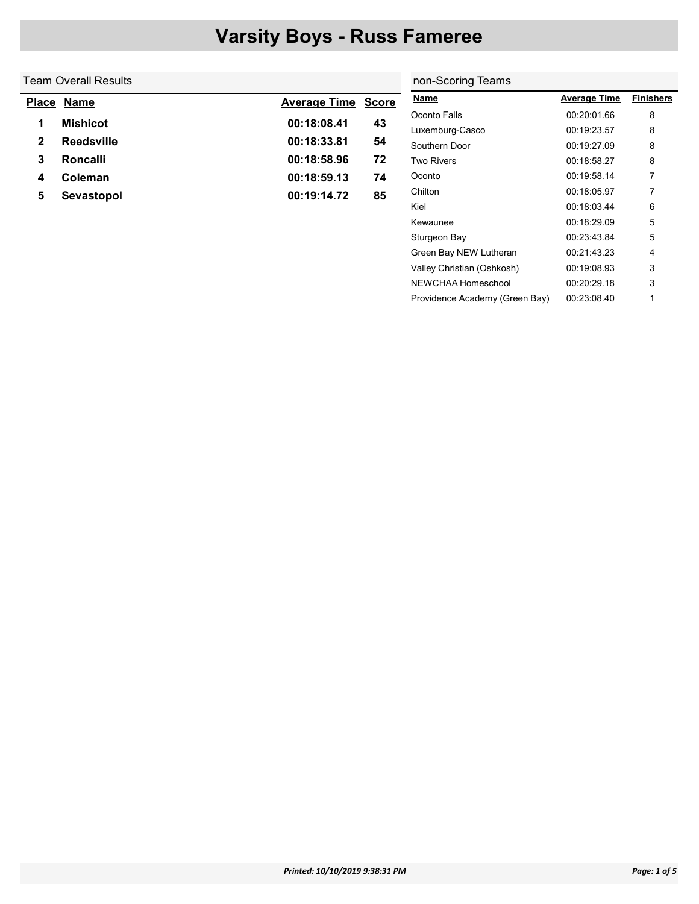|                                                          | <b>Nar</b>  |
|----------------------------------------------------------|-------------|
| <b>Place Name</b><br><b>Average Time</b><br><b>Score</b> |             |
| 00:18:08.41<br><b>Mishicot</b><br>43<br>1                | Oco<br>Luxe |
| 00:18:33.81<br><b>Reedsville</b><br>$\mathbf{2}$<br>54   | Sout        |
| 00:18:58.96<br>72<br>Roncalli<br>3                       | Two         |
| 00:18:59.13<br>Coleman<br>74<br>4                        | Oco         |
| 00:19:14.72<br>85<br>Sevastopol<br>5                     | Chilt       |

| non-Scoring Teams              |                     |                  |
|--------------------------------|---------------------|------------------|
| <b>Name</b>                    | <u>Average Time</u> | <b>Finishers</b> |
| Oconto Falls                   | 00:20:01.66         | 8                |
| Luxemburg-Casco                | 00:19:23.57         | 8                |
| Southern Door                  | 00:19:27.09         | 8                |
| Two Rivers                     | 00:18:58.27         | 8                |
| Oconto                         | 00:19:58.14         | 7                |
| Chilton                        | 00:18:05.97         | 7                |
| Kiel                           | 00:18:03:44         | 6                |
| Kewaunee                       | 00:18:29.09         | 5                |
| Sturgeon Bay                   | 00:23:43.84         | 5                |
| Green Bay NEW Lutheran         | 00:21:43.23         | 4                |
| Valley Christian (Oshkosh)     | 00:19:08.93         | 3                |
| NFWCHAA Homeschool             | 00:20:29.18         | 3                |
| Providence Academy (Green Bay) | 00:23:08.40         | 1                |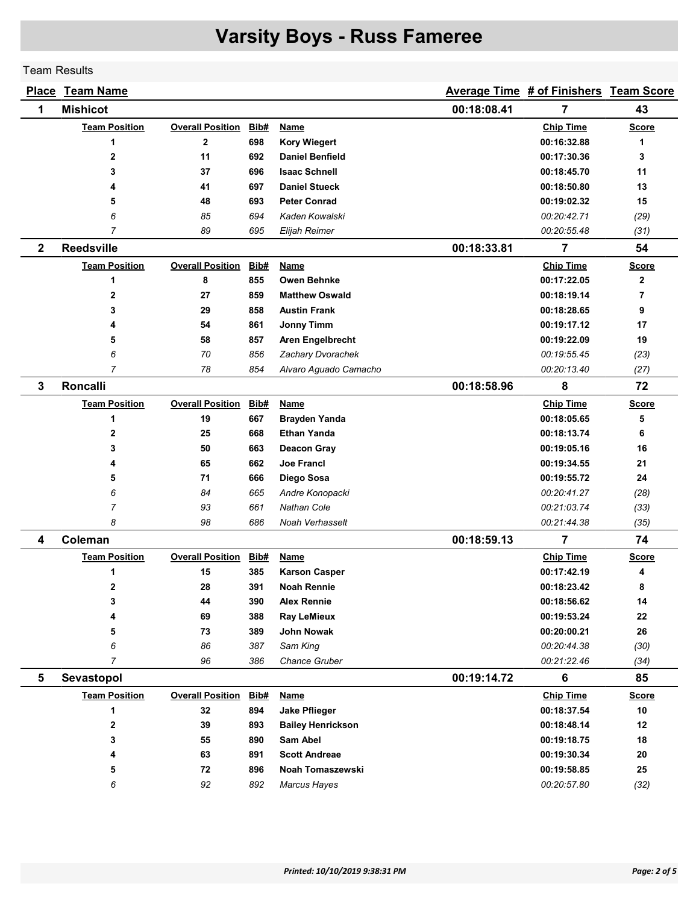Team Results

|              | Place Team Name      |                         |      |                          |             | Average Time # of Finishers Team Score |              |
|--------------|----------------------|-------------------------|------|--------------------------|-------------|----------------------------------------|--------------|
| 1            | <b>Mishicot</b>      |                         |      |                          | 00:18:08.41 | 7                                      | 43           |
|              | <b>Team Position</b> | <b>Overall Position</b> | Bib# | Name                     |             | <b>Chip Time</b>                       | <b>Score</b> |
|              | 1                    | $\overline{2}$          | 698  | <b>Kory Wiegert</b>      |             | 00:16:32.88                            | 1            |
|              | 2                    | 11                      | 692  | <b>Daniel Benfield</b>   |             | 00:17:30.36                            | 3            |
|              | 3                    | 37                      | 696  | <b>Isaac Schnell</b>     |             | 00:18:45.70                            | 11           |
|              | 4                    | 41                      | 697  | <b>Daniel Stueck</b>     |             | 00:18:50.80                            | 13           |
|              | 5                    | 48                      | 693  | <b>Peter Conrad</b>      |             | 00:19:02.32                            | 15           |
|              | 6                    | 85                      | 694  | Kaden Kowalski           |             | 00:20:42.71                            | (29)         |
|              | $\overline{7}$       | 89                      | 695  | Elijah Reimer            |             | 00:20:55.48                            | (31)         |
| $\mathbf{2}$ | <b>Reedsville</b>    |                         |      |                          | 00:18:33.81 | $\overline{7}$                         | 54           |
|              | <b>Team Position</b> | <b>Overall Position</b> | Bib# | Name                     |             | <b>Chip Time</b>                       | <b>Score</b> |
|              | 1                    | 8                       | 855  | <b>Owen Behnke</b>       |             | 00:17:22.05                            | $\mathbf{2}$ |
|              | 2                    | 27                      | 859  | <b>Matthew Oswald</b>    |             | 00:18:19.14                            | 7            |
|              | 3                    | 29                      | 858  | <b>Austin Frank</b>      |             | 00:18:28.65                            | 9            |
|              | 4                    | 54                      | 861  | <b>Jonny Timm</b>        |             | 00:19:17.12                            | 17           |
|              | 5                    | 58                      | 857  | Aren Engelbrecht         |             | 00:19:22.09                            | 19           |
|              | 6                    | 70                      | 856  | Zachary Dvorachek        |             | 00:19:55.45                            | (23)         |
|              | $\overline{7}$       | 78                      | 854  | Alvaro Aguado Camacho    |             | 00:20:13.40                            | (27)         |
| 3            | <b>Roncalli</b>      |                         |      |                          | 00:18:58.96 | 8                                      | 72           |
|              | <b>Team Position</b> | <b>Overall Position</b> | Bib# | <b>Name</b>              |             | <b>Chip Time</b>                       | <u>Score</u> |
|              | 1                    | 19                      | 667  | <b>Brayden Yanda</b>     |             | 00:18:05.65                            | 5            |
|              | 2                    | 25                      | 668  | <b>Ethan Yanda</b>       |             | 00:18:13.74                            | 6            |
|              | 3                    | 50                      | 663  | <b>Deacon Gray</b>       |             | 00:19:05.16                            | 16           |
|              | 4                    | 65                      | 662  | <b>Joe Francl</b>        |             | 00:19:34.55                            | 21           |
|              | 5                    | 71                      | 666  | Diego Sosa               |             | 00:19:55.72                            | 24           |
|              | 6                    | 84                      | 665  | Andre Konopacki          |             | 00:20:41.27                            | (28)         |
|              | 7                    | 93                      | 661  | <b>Nathan Cole</b>       |             | 00:21:03.74                            | (33)         |
|              | 8                    | 98                      | 686  | Noah Verhasselt          |             | 00:21:44.38                            | (35)         |
| 4            | Coleman              |                         |      |                          | 00:18:59.13 | 7                                      | 74           |
|              | <b>Team Position</b> | <b>Overall Position</b> | Bib# | Name                     |             | <b>Chip Time</b>                       | <b>Score</b> |
|              | 1                    | 15                      | 385  | <b>Karson Casper</b>     |             | 00:17:42.19                            | 4            |
|              | $\overline{2}$       | 28                      | 391  | <b>Noah Rennie</b>       |             | 00:18:23.42                            | 8            |
|              | 3                    | 44                      | 390  | <b>Alex Rennie</b>       |             | 00:18:56.62                            | 14           |
|              | 4                    | 69                      | 388  | <b>Ray LeMieux</b>       |             | 00:19:53.24                            | 22           |
|              | 5                    | 73                      | 389  | John Nowak               |             | 00:20:00.21                            | 26           |
|              | 6                    | 86                      | 387  | Sam King                 |             | 00:20:44.38                            | (30)         |
|              | $\overline{7}$       | 96                      | 386  | Chance Gruber            |             | 00:21:22.46                            | (34)         |
| 5            | Sevastopol           |                         |      |                          | 00:19:14.72 | 6                                      | 85           |
|              | <b>Team Position</b> | <b>Overall Position</b> | Bib# | <b>Name</b>              |             | <b>Chip Time</b>                       | <b>Score</b> |
|              | 1                    | 32                      | 894  | <b>Jake Pflieger</b>     |             | 00:18:37.54                            | 10           |
|              | 2                    | 39                      | 893  | <b>Bailey Henrickson</b> |             | 00:18:48.14                            | 12           |
|              | 3                    | 55                      | 890  | Sam Abel                 |             | 00:19:18.75                            | 18           |
|              | 4                    | 63                      | 891  | <b>Scott Andreae</b>     |             | 00:19:30.34                            | 20           |
|              | 5                    | 72                      | 896  | Noah Tomaszewski         |             | 00:19:58.85                            | 25           |
|              | 6                    | 92                      | 892  | <b>Marcus Hayes</b>      |             | 00:20:57.80                            | (32)         |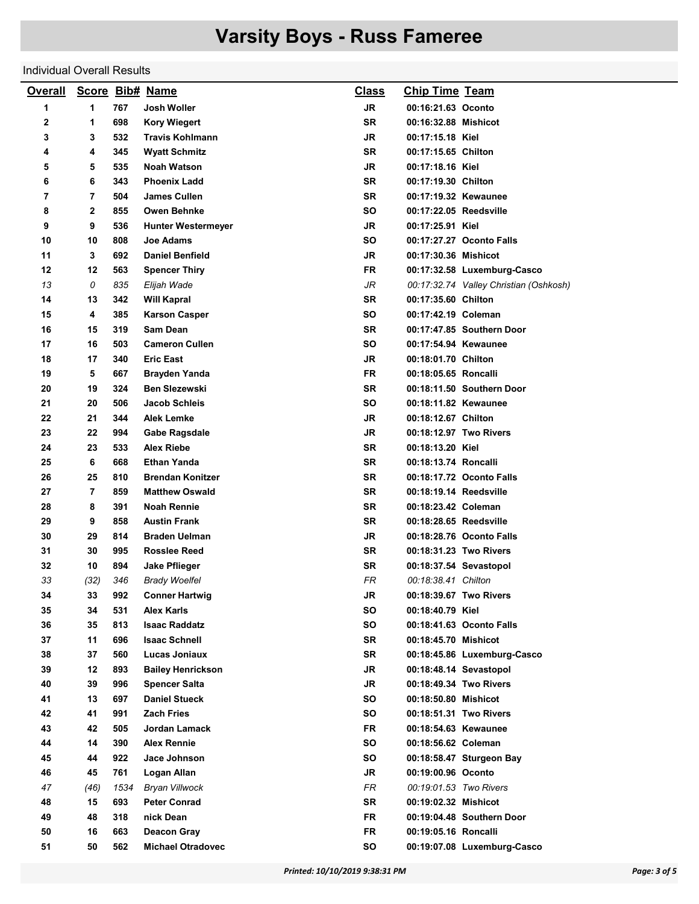#### Individual Overall Results

| <b>Overall</b> |                |      | Score Bib# Name           | <b>Class</b> | <b>Chip Time Team</b>  |                                        |
|----------------|----------------|------|---------------------------|--------------|------------------------|----------------------------------------|
| 1              | 1              | 767  | Josh Woller               | <b>JR</b>    | 00:16:21.63 Oconto     |                                        |
| 2              | 1              | 698  | <b>Kory Wiegert</b>       | <b>SR</b>    | 00:16:32.88 Mishicot   |                                        |
| 3              | 3              | 532  | <b>Travis Kohlmann</b>    | JR           | 00:17:15.18 Kiel       |                                        |
| 4              | 4              | 345  | <b>Wyatt Schmitz</b>      | SR           | 00:17:15.65 Chilton    |                                        |
| 5              | 5              | 535  | <b>Noah Watson</b>        | <b>JR</b>    | 00:17:18.16 Kiel       |                                        |
| 6              | 6              | 343  | <b>Phoenix Ladd</b>       | <b>SR</b>    | 00:17:19.30 Chilton    |                                        |
| 7              | 7              | 504  | <b>James Cullen</b>       | SR           | 00:17:19.32 Kewaunee   |                                        |
| 8              | 2              | 855  | <b>Owen Behnke</b>        | <b>SO</b>    | 00:17:22.05 Reedsville |                                        |
| 9              | 9              | 536  | <b>Hunter Westermeyer</b> | JR           | 00:17:25.91 Kiel       |                                        |
| 10             | 10             | 808  | <b>Joe Adams</b>          | SΟ           |                        | 00:17:27.27 Oconto Falls               |
| 11             | 3              | 692  | <b>Daniel Benfield</b>    | JR           | 00:17:30.36 Mishicot   |                                        |
| 12             | 12             | 563  | <b>Spencer Thiry</b>      | FR           |                        | 00:17:32.58 Luxemburg-Casco            |
| 13             | 0              | 835  | Elijah Wade               | JR           |                        | 00:17:32.74 Valley Christian (Oshkosh) |
| 14             | 13             | 342  | <b>Will Kapral</b>        | <b>SR</b>    | 00:17:35.60 Chilton    |                                        |
| 15             | 4              | 385  | <b>Karson Casper</b>      | SΟ           | 00:17:42.19 Coleman    |                                        |
| 16             | 15             | 319  | <b>Sam Dean</b>           | SR           |                        | 00:17:47.85 Southern Door              |
| 17             | 16             | 503  | <b>Cameron Cullen</b>     | <b>SO</b>    | 00:17:54.94 Kewaunee   |                                        |
| 18             | 17             | 340  | <b>Eric East</b>          | JR           | 00:18:01.70 Chilton    |                                        |
| 19             | 5              | 667  | Brayden Yanda             | FR           | 00:18:05.65 Roncalli   |                                        |
| 20             | 19             | 324  | <b>Ben Slezewski</b>      | <b>SR</b>    |                        | 00:18:11.50 Southern Door              |
| 21             | 20             | 506  | <b>Jacob Schleis</b>      | SΟ           | 00:18:11.82 Kewaunee   |                                        |
| 22             | 21             | 344  | Alek Lemke                | JR           | 00:18:12.67 Chilton    |                                        |
| 23             | 22             | 994  | <b>Gabe Ragsdale</b>      | JR           | 00:18:12.97 Two Rivers |                                        |
| 24             | 23             | 533  | <b>Alex Riebe</b>         | SR           | 00:18:13.20 Kiel       |                                        |
| 25             | 6              | 668  | <b>Ethan Yanda</b>        | SR           | 00:18:13.74 Roncalli   |                                        |
| 26             | 25             | 810  | <b>Brendan Konitzer</b>   | SR           |                        | 00:18:17.72 Oconto Falls               |
| 27             | $\overline{7}$ | 859  | <b>Matthew Oswald</b>     | <b>SR</b>    | 00:18:19.14 Reedsville |                                        |
| 28             | 8              | 391  | <b>Noah Rennie</b>        | SR           | 00:18:23.42 Coleman    |                                        |
| 29             | 9              | 858  | <b>Austin Frank</b>       | SR           | 00:18:28.65 Reedsville |                                        |
| 30             | 29             | 814  | <b>Braden Uelman</b>      | <b>JR</b>    |                        | 00:18:28.76 Oconto Falls               |
| 31             | 30             | 995  | <b>Rosslee Reed</b>       | SR           | 00:18:31.23 Two Rivers |                                        |
| 32             | 10             | 894  | Jake Pflieger             | SR           | 00:18:37.54 Sevastopol |                                        |
| 33             | (32)           | 346  | <b>Brady Woelfel</b>      | <b>FR</b>    | 00:18:38.41 Chilton    |                                        |
| 34             | 33             | 992  | <b>Conner Hartwig</b>     | JR           | 00:18:39.67 Two Rivers |                                        |
| 35             | 34             | 531  | Alex Karls                | SO           | 00:18:40.79 Kiel       |                                        |
| 36             | 35             | 813  | <b>Isaac Raddatz</b>      | SO           |                        | 00:18:41.63 Oconto Falls               |
| 37             | 11             | 696  | <b>Isaac Schnell</b>      | SR           | 00:18:45.70 Mishicot   |                                        |
| 38             | 37             | 560  | Lucas Joniaux             | SR           |                        | 00:18:45.86 Luxemburg-Casco            |
| 39             | $12 \,$        | 893  | <b>Bailey Henrickson</b>  | JR           | 00:18:48.14 Sevastopol |                                        |
| 40             | 39             | 996  | <b>Spencer Salta</b>      | <b>JR</b>    | 00:18:49.34 Two Rivers |                                        |
| 41             | 13             | 697  | <b>Daniel Stueck</b>      | SO           | 00:18:50.80 Mishicot   |                                        |
| 42             | 41             | 991  | <b>Zach Fries</b>         | SO           |                        | 00:18:51.31 Two Rivers                 |
| 43             | 42             | 505  | Jordan Lamack             | <b>FR</b>    | 00:18:54.63 Kewaunee   |                                        |
| 44             | 14             | 390  | <b>Alex Rennie</b>        | <b>SO</b>    | 00:18:56.62 Coleman    |                                        |
| 45             | 44             | 922  | Jace Johnson              | SO           |                        | 00:18:58.47 Sturgeon Bay               |
| 46             | 45             | 761  | Logan Allan               | JR           | 00:19:00.96 Oconto     |                                        |
| 47             | (46)           | 1534 | <b>Bryan Villwock</b>     | FR.          | 00:19:01.53 Two Rivers |                                        |
| 48             | 15             | 693  | <b>Peter Conrad</b>       | SR           | 00:19:02.32 Mishicot   |                                        |
| 49             | 48             | 318  | nick Dean                 | <b>FR</b>    |                        | 00:19:04.48 Southern Door              |
| 50             | 16             | 663  | <b>Deacon Gray</b>        | <b>FR</b>    | 00:19:05.16 Roncalli   |                                        |
| 51             | 50             | 562  | <b>Michael Otradovec</b>  | SO           |                        | 00:19:07.08 Luxemburg-Casco            |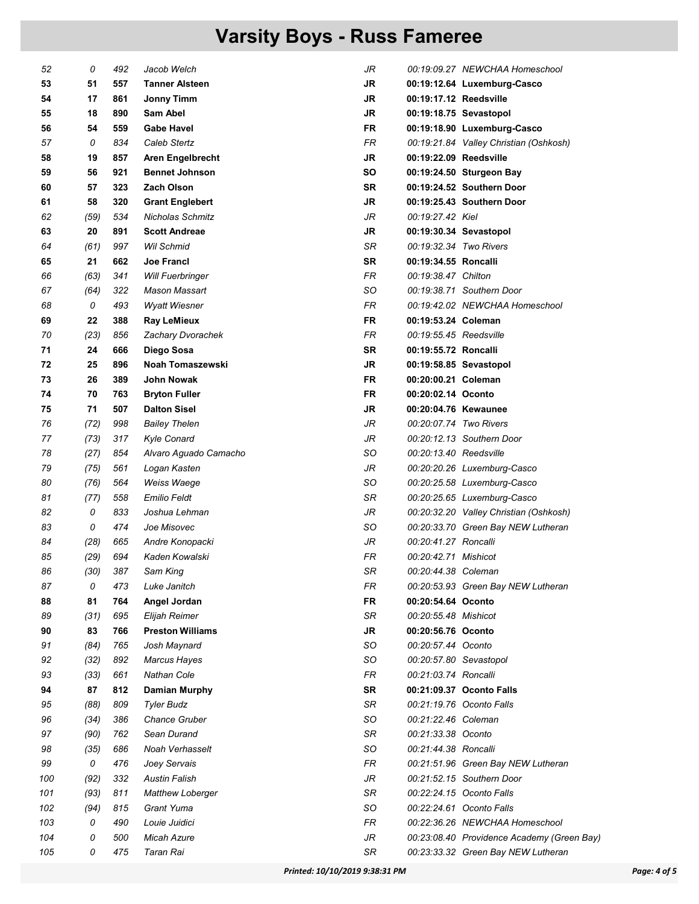| 52  | 0    | 492 | Jacob Welch             | JR        |                        | 00:19:09.27 NEWCHAA Homeschool             |
|-----|------|-----|-------------------------|-----------|------------------------|--------------------------------------------|
| 53  | 51   | 557 | <b>Tanner Alsteen</b>   | <b>JR</b> |                        | 00:19:12.64 Luxemburg-Casco                |
| 54  | 17   | 861 | <b>Jonny Timm</b>       | <b>JR</b> | 00:19:17.12 Reedsville |                                            |
| 55  | 18   | 890 | Sam Abel                | JR        | 00:19:18.75 Sevastopol |                                            |
| 56  | 54   | 559 | <b>Gabe Havel</b>       | FR        |                        | 00:19:18.90 Luxemburg-Casco                |
| 57  | 0    | 834 | Caleb Stertz            | FR        |                        | 00:19:21.84 Valley Christian (Oshkosh)     |
| 58  | 19   | 857 | Aren Engelbrecht        | <b>JR</b> | 00:19:22.09 Reedsville |                                            |
| 59  | 56   | 921 | <b>Bennet Johnson</b>   | <b>SO</b> |                        | 00:19:24.50 Sturgeon Bay                   |
| 60  | 57   | 323 | <b>Zach Olson</b>       | <b>SR</b> |                        | 00:19:24.52 Southern Door                  |
| 61  | 58   | 320 | <b>Grant Englebert</b>  | <b>JR</b> |                        | 00:19:25.43 Southern Door                  |
| 62  | (59) | 534 | <b>Nicholas Schmitz</b> | JR        | 00:19:27.42 Kiel       |                                            |
| 63  | 20   | 891 | <b>Scott Andreae</b>    | JR        | 00:19:30.34 Sevastopol |                                            |
| 64  | (61) | 997 | Wil Schmid              | SR        | 00:19:32.34 Two Rivers |                                            |
| 65  | 21   | 662 | <b>Joe Francl</b>       | <b>SR</b> | 00:19:34.55 Roncalli   |                                            |
| 66  | (63) | 341 | <b>Will Fuerbringer</b> | FR        | 00:19:38.47 Chilton    |                                            |
| 67  | (64) | 322 | Mason Massart           | SO        |                        | 00:19:38.71 Southern Door                  |
| 68  | 0    | 493 | <b>Wyatt Wiesner</b>    | FR        |                        | 00:19:42.02 NEWCHAA Homeschool             |
| 69  | 22   | 388 | <b>Ray LeMieux</b>      | FR        | 00:19:53.24 Coleman    |                                            |
| 70  | (23) | 856 | Zachary Dvorachek       | <b>FR</b> | 00:19:55.45 Reedsville |                                            |
| 71  | 24   | 666 | Diego Sosa              | <b>SR</b> | 00:19:55.72 Roncalli   |                                            |
| 72  | 25   | 896 | Noah Tomaszewski        | <b>JR</b> | 00:19:58.85 Sevastopol |                                            |
| 73  | 26   | 389 | John Nowak              | <b>FR</b> | 00:20:00.21 Coleman    |                                            |
| 74  | 70   | 763 | <b>Bryton Fuller</b>    | <b>FR</b> | 00:20:02.14 Oconto     |                                            |
| 75  | 71   | 507 | <b>Dalton Sisel</b>     | JR        | 00:20:04.76 Kewaunee   |                                            |
| 76  | (72) | 998 | <b>Bailey Thelen</b>    | JR        | 00:20:07.74 Two Rivers |                                            |
| 77  | (73) | 317 | <b>Kyle Conard</b>      | JR        |                        | 00:20:12.13 Southern Door                  |
| 78  | (27) | 854 | Alvaro Aguado Camacho   | SO        | 00:20:13.40 Reedsville |                                            |
| 79  | (75) | 561 | Logan Kasten            | JR        |                        | 00:20:20.26 Luxemburg-Casco                |
| 80  | (76) | 564 | Weiss Waege             | SO        |                        | 00:20:25.58 Luxemburg-Casco                |
| 81  | (77) | 558 | <b>Emilio Feldt</b>     | SR        |                        | 00:20:25.65 Luxemburg-Casco                |
| 82  | 0    | 833 | Joshua Lehman           | JR        |                        | 00:20:32.20 Valley Christian (Oshkosh)     |
| 83  | 0    | 474 | Joe Misovec             | SO        |                        | 00:20:33.70 Green Bay NEW Lutheran         |
| 84  | (28) | 665 | Andre Konopacki         | JR        | 00:20:41.27 Roncalli   |                                            |
| 85  | (29) | 694 | Kaden Kowalski          | FR        | 00:20:42.71 Mishicot   |                                            |
| 86  | (30) | 387 | Sam King                | SR        | 00:20:44.38 Coleman    |                                            |
| 87  | 0    | 473 | Luke Janitch            | FR        |                        | 00:20:53.93 Green Bay NEW Lutheran         |
| 88  | 81   | 764 | Angel Jordan            | <b>FR</b> | 00:20:54.64 Oconto     |                                            |
| 89  | (31) | 695 | Elijah Reimer           | SR        | 00:20:55.48 Mishicot   |                                            |
| 90  | 83   | 766 | <b>Preston Williams</b> | <b>JR</b> | 00:20:56.76 Oconto     |                                            |
| 91  | (84) | 765 | Josh Maynard            | SO        | 00:20:57.44 Oconto     |                                            |
| 92  | (32) | 892 | <b>Marcus Hayes</b>     | SO        | 00:20:57.80 Sevastopol |                                            |
| 93  | (33) | 661 | <b>Nathan Cole</b>      | FR        | 00:21:03.74 Roncalli   |                                            |
| 94  | 87   | 812 | <b>Damian Murphy</b>    | <b>SR</b> |                        | 00:21:09.37 Oconto Falls                   |
| 95  | (88) | 809 | <b>Tyler Budz</b>       | SR        |                        | 00:21:19.76 Oconto Falls                   |
| 96  | (34) | 386 | <b>Chance Gruber</b>    | SO        | 00:21:22.46 Coleman    |                                            |
| 97  | (90) | 762 | Sean Durand             | SR        | 00:21:33.38 Oconto     |                                            |
| 98  | (35) | 686 | Noah Verhasselt         | SO        | 00:21:44.38 Roncalli   |                                            |
| 99  | 0    | 476 | Joey Servais            | FR        |                        | 00:21:51.96 Green Bay NEW Lutheran         |
| 100 | (92) | 332 | <b>Austin Falish</b>    | JR        |                        | 00:21:52.15 Southern Door                  |
| 101 | (93) | 811 | <b>Matthew Loberger</b> | SR        |                        | 00:22:24.15 Oconto Falls                   |
| 102 | (94) | 815 | Grant Yuma              | SO        |                        | 00:22:24.61 Oconto Falls                   |
| 103 | 0    | 490 | Louie Juidici           | FR        |                        | 00:22:36.26 NEWCHAA Homeschool             |
| 104 | 0    | 500 | Micah Azure             | JR        |                        | 00:23:08.40 Providence Academy (Green Bay) |
| 105 | 0    | 475 | Taran Rai               | SR        |                        | 00:23:33.32 Green Bay NEW Lutheran         |